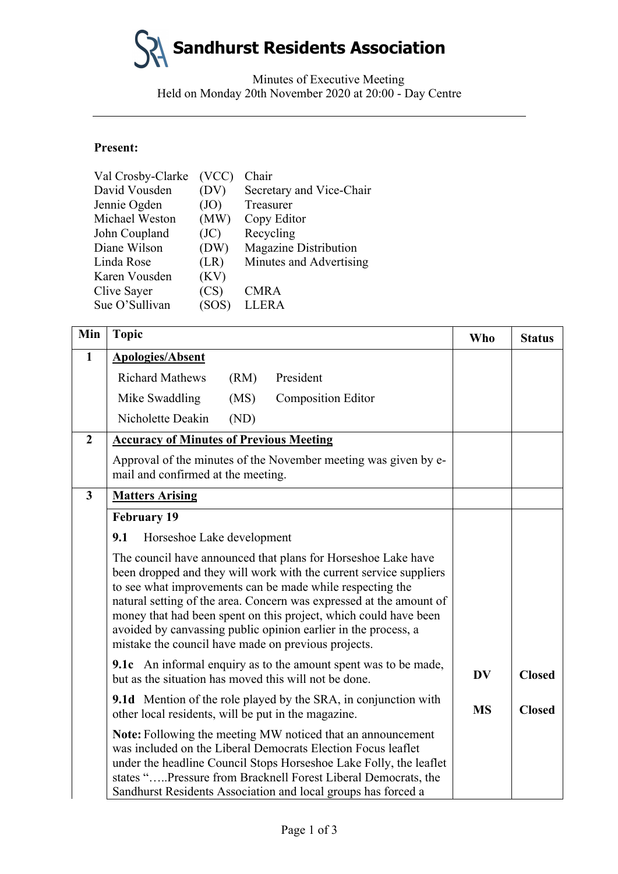**Sandhurst Residents Association**

Minutes of Executive Meeting Held on Monday 20th November 2020 at 20:00 - Day Centre

## **Present:**

| (VCC) | Chair                        |
|-------|------------------------------|
| (DV)  | Secretary and Vice-Chair     |
| (JO)  | Treasurer                    |
| (MW)  | Copy Editor                  |
| (JC)  | Recycling                    |
| (DW)  | <b>Magazine Distribution</b> |
| (LR)  | Minutes and Advertising      |
| (KV)  |                              |
| (CS)  | <b>CMRA</b>                  |
| (SOS) | <b>LLERA</b>                 |
|       |                              |

| Min              | <b>Topic</b>                                                                                                                                                                                                                                                                                                                                                                                                                                                         | <b>Who</b> | <b>Status</b> |
|------------------|----------------------------------------------------------------------------------------------------------------------------------------------------------------------------------------------------------------------------------------------------------------------------------------------------------------------------------------------------------------------------------------------------------------------------------------------------------------------|------------|---------------|
| $\mathbf{1}$     | <b>Apologies/Absent</b>                                                                                                                                                                                                                                                                                                                                                                                                                                              |            |               |
|                  | <b>Richard Mathews</b><br>President<br>(RM)                                                                                                                                                                                                                                                                                                                                                                                                                          |            |               |
|                  | Mike Swaddling<br>(MS)<br><b>Composition Editor</b>                                                                                                                                                                                                                                                                                                                                                                                                                  |            |               |
|                  | Nicholette Deakin<br>(ND)                                                                                                                                                                                                                                                                                                                                                                                                                                            |            |               |
| $\boldsymbol{2}$ | <b>Accuracy of Minutes of Previous Meeting</b>                                                                                                                                                                                                                                                                                                                                                                                                                       |            |               |
|                  | Approval of the minutes of the November meeting was given by e-<br>mail and confirmed at the meeting.                                                                                                                                                                                                                                                                                                                                                                |            |               |
| 3                | <b>Matters Arising</b>                                                                                                                                                                                                                                                                                                                                                                                                                                               |            |               |
|                  | <b>February 19</b>                                                                                                                                                                                                                                                                                                                                                                                                                                                   |            |               |
|                  | 9.1<br>Horseshoe Lake development                                                                                                                                                                                                                                                                                                                                                                                                                                    |            |               |
|                  | The council have announced that plans for Horseshoe Lake have<br>been dropped and they will work with the current service suppliers<br>to see what improvements can be made while respecting the<br>natural setting of the area. Concern was expressed at the amount of<br>money that had been spent on this project, which could have been<br>avoided by canvassing public opinion earlier in the process, a<br>mistake the council have made on previous projects. |            |               |
|                  | <b>9.1c</b> An informal enquiry as to the amount spent was to be made,<br>but as the situation has moved this will not be done.                                                                                                                                                                                                                                                                                                                                      |            | <b>Closed</b> |
|                  | <b>9.1d</b> Mention of the role played by the SRA, in conjunction with<br>other local residents, will be put in the magazine.                                                                                                                                                                                                                                                                                                                                        | <b>MS</b>  | <b>Closed</b> |
|                  | <b>Note:</b> Following the meeting MW noticed that an announcement<br>was included on the Liberal Democrats Election Focus leaflet<br>under the headline Council Stops Horseshoe Lake Folly, the leaflet<br>states "Pressure from Bracknell Forest Liberal Democrats, the<br>Sandhurst Residents Association and local groups has forced a                                                                                                                           |            |               |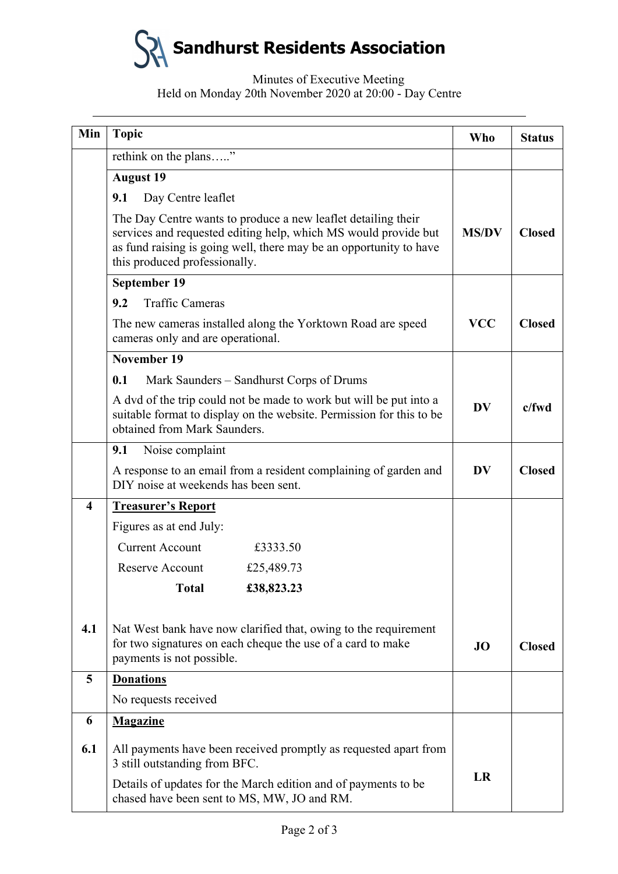

Minutes of Executive Meeting

## Held on Monday 20th November 2020 at 20:00 - Day Centre

| Min                     | <b>Topic</b>                                                                                                                                                                                                                            | <b>Who</b>   | <b>Status</b> |
|-------------------------|-----------------------------------------------------------------------------------------------------------------------------------------------------------------------------------------------------------------------------------------|--------------|---------------|
|                         | rethink on the plans"                                                                                                                                                                                                                   |              |               |
|                         | <b>August 19</b>                                                                                                                                                                                                                        |              |               |
|                         | 9.1<br>Day Centre leaflet                                                                                                                                                                                                               |              |               |
|                         | The Day Centre wants to produce a new leaflet detailing their<br>services and requested editing help, which MS would provide but<br>as fund raising is going well, there may be an opportunity to have<br>this produced professionally. | <b>MS/DV</b> | <b>Closed</b> |
|                         | September 19                                                                                                                                                                                                                            |              |               |
|                         | <b>Traffic Cameras</b><br>9.2                                                                                                                                                                                                           |              |               |
|                         | The new cameras installed along the Yorktown Road are speed<br>cameras only and are operational.                                                                                                                                        | <b>VCC</b>   | <b>Closed</b> |
|                         | <b>November 19</b>                                                                                                                                                                                                                      |              |               |
|                         | 0.1<br>Mark Saunders – Sandhurst Corps of Drums                                                                                                                                                                                         |              |               |
|                         | A dvd of the trip could not be made to work but will be put into a<br>suitable format to display on the website. Permission for this to be<br>obtained from Mark Saunders.                                                              | <b>DV</b>    | $c$ /fwd      |
|                         | Noise complaint<br>9.1                                                                                                                                                                                                                  |              |               |
|                         | A response to an email from a resident complaining of garden and<br>DIY noise at weekends has been sent.                                                                                                                                | <b>DV</b>    | <b>Closed</b> |
| $\overline{\mathbf{4}}$ | <b>Treasurer's Report</b>                                                                                                                                                                                                               |              |               |
|                         | Figures as at end July:                                                                                                                                                                                                                 |              |               |
|                         | <b>Current Account</b><br>£3333.50                                                                                                                                                                                                      |              |               |
|                         | Reserve Account<br>£25,489.73                                                                                                                                                                                                           |              |               |
|                         | £38,823.23<br><b>Total</b>                                                                                                                                                                                                              |              |               |
| 4.1                     | Nat West bank have now clarified that, owing to the requirement<br>for two signatures on each cheque the use of a card to make<br>payments is not possible.                                                                             | <b>JO</b>    | <b>Closed</b> |
| 5                       | <b>Donations</b>                                                                                                                                                                                                                        |              |               |
|                         | No requests received                                                                                                                                                                                                                    |              |               |
| 6                       | <b>Magazine</b>                                                                                                                                                                                                                         |              |               |
| 6.1                     | All payments have been received promptly as requested apart from<br>3 still outstanding from BFC.                                                                                                                                       |              |               |
|                         | Details of updates for the March edition and of payments to be<br>chased have been sent to MS, MW, JO and RM.                                                                                                                           | LR           |               |